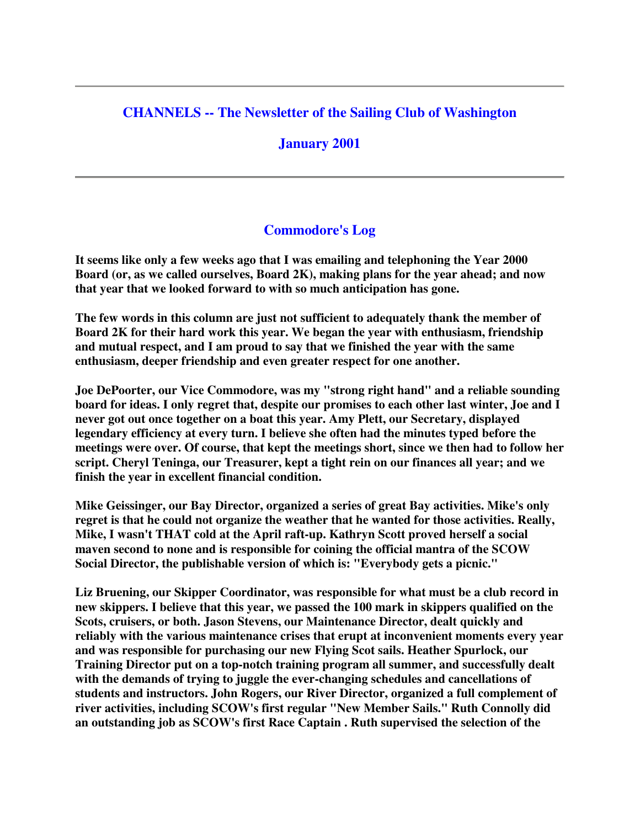# **CHANNELS -- The Newsletter of the Sailing Club of Washington**

## **January 2001**

# **Commodore's Log**

**It seems like only a few weeks ago that I was emailing and telephoning the Year 2000 Board (or, as we called ourselves, Board 2K), making plans for the year ahead; and now that year that we looked forward to with so much anticipation has gone.**

**The few words in this column are just not sufficient to adequately thank the member of Board 2K for their hard work this year. We began the year with enthusiasm, friendship and mutual respect, and I am proud to say that we finished the year with the same enthusiasm, deeper friendship and even greater respect for one another.**

**Joe DePoorter, our Vice Commodore, was my "strong right hand" and a reliable sounding board for ideas. I only regret that, despite our promises to each other last winter, Joe and I never got out once together on a boat this year. Amy Plett, our Secretary, displayed legendary efficiency at every turn. I believe she often had the minutes typed before the meetings were over. Of course, that kept the meetings short, since we then had to follow her script. Cheryl Teninga, our Treasurer, kept a tight rein on our finances all year; and we finish the year in excellent financial condition.**

**Mike Geissinger, our Bay Director, organized a series of great Bay activities. Mike's only regret is that he could not organize the weather that he wanted for those activities. Really, Mike, I wasn't THAT cold at the April raft-up. Kathryn Scott proved herself a social maven second to none and is responsible for coining the official mantra of the SCOW Social Director, the publishable version of which is: "Everybody gets a picnic."**

**Liz Bruening, our Skipper Coordinator, was responsible for what must be a club record in new skippers. I believe that this year, we passed the 100 mark in skippers qualified on the Scots, cruisers, or both. Jason Stevens, our Maintenance Director, dealt quickly and reliably with the various maintenance crises that erupt at inconvenient moments every year and was responsible for purchasing our new Flying Scot sails. Heather Spurlock, our Training Director put on a top-notch training program all summer, and successfully dealt with the demands of trying to juggle the ever-changing schedules and cancellations of students and instructors. John Rogers, our River Director, organized a full complement of river activities, including SCOW's first regular "New Member Sails." Ruth Connolly did an outstanding job as SCOW's first Race Captain . Ruth supervised the selection of the**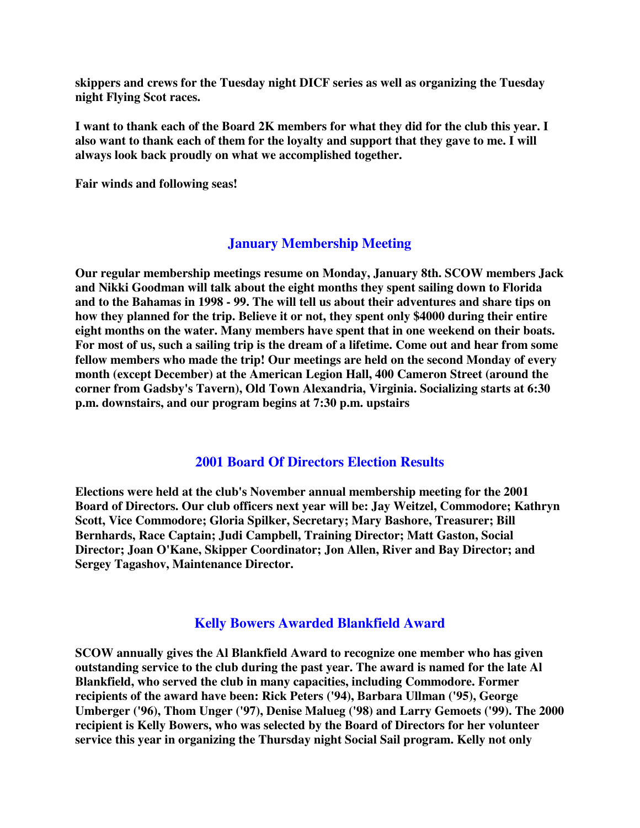**skippers and crews for the Tuesday night DICF series as well as organizing the Tuesday night Flying Scot races.**

I want to thank each of the Board 2K members for what they did for the club this year. I **also want to thank each of them for the loyalty and support that they gave to me. I will always look back proudly on what we accomplished together.**

**Fair winds and following seas!**

### **January Membership Meeting**

**Our regular membership meetings resume on Monday, January 8th. SCOW members Jack and Nikki Goodman will talk about the eight months they spent sailing down to Florida and to the Bahamas in 1998 - 99. The will tell us about their adventures and share tips on how they planned for the trip. Believe it or not, they spent only \$4000 during their entire eight months on the water. Many members have spent that in one weekend on their boats.** For most of us, such a sailing trip is the dream of a lifetime. Come out and hear from some **fellow members who made the trip! Our meetings are held on the second Monday of every month (except December) at the American Legion Hall, 400 Cameron Street (around the corner from Gadsby's Tavern), Old Town Alexandria, Virginia. Socializing starts at 6:30 p.m. downstairs, and our program begins at 7:30 p.m. upstairs**

### **2001 Board Of Directors Election Results**

**Elections were held at the club's November annual membership meeting for the 2001 Board of Directors. Our club officers next year will be: Jay Weitzel, Commodore; Kathryn Scott, Vice Commodore; Gloria Spilker, Secretary; Mary Bashore, Treasurer; Bill Bernhards, Race Captain; Judi Campbell, Training Director; Matt Gaston, Social Director; Joan O'Kane, Skipper Coordinator; Jon Allen, River and Bay Director; and Sergey Tagashov, Maintenance Director.**

#### **Kelly Bowers Awarded Blankfield Award**

**SCOW annually gives the Al Blankfield Award to recognize one member who has given outstanding service to the club during the past year. The award is named for the late Al Blankfield, who served the club in many capacities, including Commodore. Former recipients of the award have been: Rick Peters ('94), Barbara Ullman ('95), George Umberger ('96), Thom Unger ('97), Denise Malueg ('98) and Larry Gemoets ('99). The 2000 recipient is Kelly Bowers, who was selected by the Board of Directors for her volunteer service this year in organizing the Thursday night Social Sail program. Kelly not only**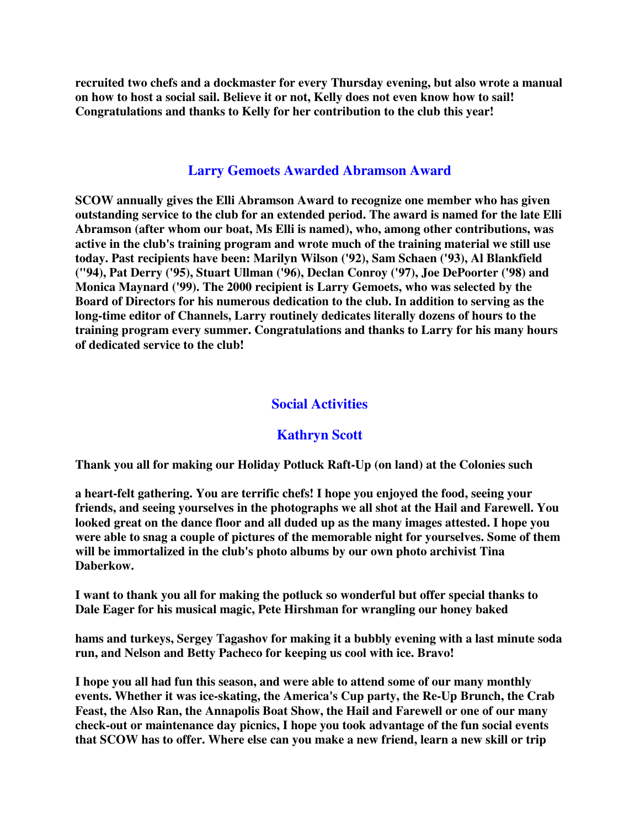**recruited two chefs and a dockmaster for every Thursday evening, but also wrote a manual on how to host a social sail. Believe it or not, Kelly does not even know how to sail! Congratulations and thanks to Kelly for her contribution to the club this year!**

### **Larry Gemoets Awarded Abramson Award**

**SCOW annually gives the Elli Abramson Award to recognize one member who has given outstanding service to the club for an extended period. The award is named for the late Elli Abramson (after whom our boat, Ms Elli is named), who, among other contributions, was active in the club's training program and wrote much of the training material we still use today. Past recipients have been: Marilyn Wilson ('92), Sam Schaen ('93), Al Blankfield ("94), Pat Derry ('95), Stuart Ullman ('96), Declan Conroy ('97), Joe DePoorter ('98) and Monica Maynard ('99). The 2000 recipient is Larry Gemoets, who was selected by the Board of Directors for his numerous dedication to the club. In addition to serving as the long-time editor of Channels, Larry routinely dedicates literally dozens of hours to the training program every summer. Congratulations and thanks to Larry for his many hours of dedicated service to the club!**

### **Social Activities**

### **Kathryn Scott**

**Thank you all for making our Holiday Potluck Raft-Up (on land) at the Colonies such**

**a heart-felt gathering. You are terrific chefs! I hope you enjoyed the food, seeing your friends, and seeing yourselves in the photographs we all shot at the Hail and Farewell. You looked great on the dance floor and all duded up as the many images attested. I hope you were able to snag a couple of pictures of the memorable night for yourselves. Some of them will be immortalized in the club's photo albums by our own photo archivist Tina Daberkow.**

**I want to thank you all for making the potluck so wonderful but offer special thanks to Dale Eager for his musical magic, Pete Hirshman for wrangling our honey baked**

**hams and turkeys, Sergey Tagashov for making it a bubbly evening with a last minute soda run, and Nelson and Betty Pacheco for keeping us cool with ice. Bravo!**

**I hope you all had fun this season, and were able to attend some of our many monthly events. Whether it was ice-skating, the America's Cup party, the Re-Up Brunch, the Crab Feast, the Also Ran, the Annapolis Boat Show, the Hail and Farewell or one of our many check-out or maintenance day picnics, I hope you took advantage of the fun social events that SCOW has to offer. Where else can you make a new friend, learn a new skill or trip**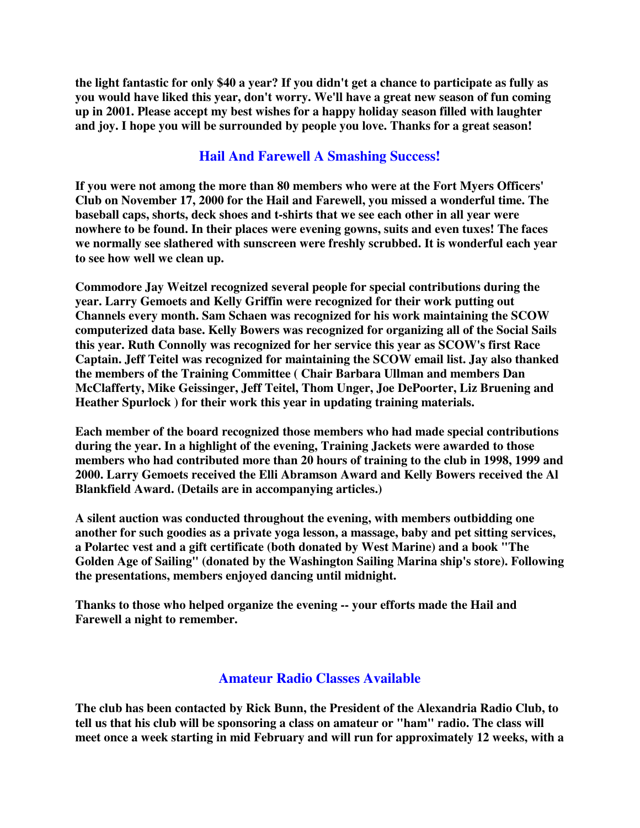the light fantastic for only \$40 a year? If you didn't get a chance to participate as fully as **you would have liked this year, don't worry. We'll have a great new season of fun coming up in 2001. Please accept my best wishes for a happy holiday season filled with laughter and joy. I hope you will be surrounded by people you love. Thanks for a great season!**

# **Hail And Farewell A Smashing Success!**

**If you were not among the more than 80 members who were at the Fort Myers Officers' Club on November 17, 2000 for the Hail and Farewell, you missed a wonderful time. The baseball caps, shorts, deck shoes and t-shirts that we see each other in all year were nowhere to be found. In their places were evening gowns, suits and even tuxes! The faces we normally see slathered with sunscreen were freshly scrubbed. It is wonderful each year to see how well we clean up.**

**Commodore Jay Weitzel recognized several people for special contributions during the year. Larry Gemoets and Kelly Griffin were recognized for their work putting out Channels every month. Sam Schaen was recognized for his work maintaining the SCOW computerized data base. Kelly Bowers was recognized for organizing all of the Social Sails this year. Ruth Connolly was recognized for her service this year as SCOW's first Race Captain. Jeff Teitel was recognized for maintaining the SCOW email list. Jay also thanked the members of the Training Committee ( Chair Barbara Ullman and members Dan McClafferty, Mike Geissinger, Jeff Teitel, Thom Unger, Joe DePoorter, Liz Bruening and Heather Spurlock ) for their work this year in updating training materials.**

**Each member of the board recognized those members who had made special contributions during the year. In a highlight of the evening, Training Jackets were awarded to those members who had contributed more than 20 hours of training to the club in 1998, 1999 and 2000. Larry Gemoets received the Elli Abramson Award and Kelly Bowers received the Al Blankfield Award. (Details are in accompanying articles.)**

**A silent auction was conducted throughout the evening, with members outbidding one another for such goodies as a private yoga lesson, a massage, baby and pet sitting services, a Polartec vest and a gift certificate (both donated by West Marine) and a book "The Golden Age of Sailing" (donated by the Washington Sailing Marina ship's store). Following the presentations, members enjoyed dancing until midnight.**

**Thanks to those who helped organize the evening -- your efforts made the Hail and Farewell a night to remember.**

# **Amateur Radio Classes Available**

**The club has been contacted by Rick Bunn, the President of the Alexandria Radio Club, to tell us that his club will be sponsoring a class on amateur or "ham" radio. The class will meet once a week starting in mid February and will run for approximately 12 weeks, with a**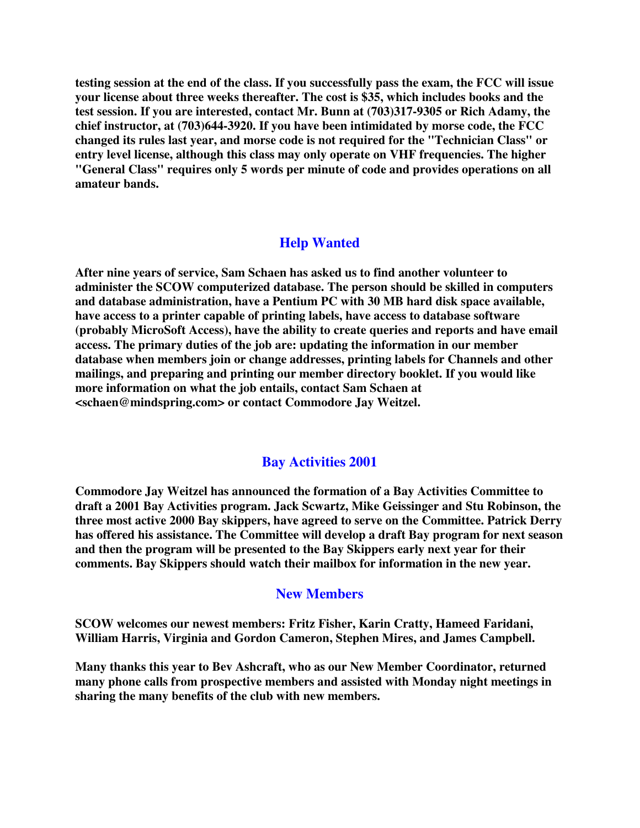**testing session at the end of the class. If you successfully pass the exam, the FCC will issue your license about three weeks thereafter. The cost is \$35, which includes books and the test session. If you are interested, contact Mr. Bunn at (703)317-9305 or Rich Adamy, the chief instructor, at (703)644-3920. If you have been intimidated by morse code, the FCC changed its rules last year, and morse code is not required for the "Technician Class" or entry level license, although this class may only operate on VHF frequencies. The higher "General Class" requires only 5 words per minute of code and provides operations on all amateur bands.**

#### **Help Wanted**

**After nine years of service, Sam Schaen has asked us to find another volunteer to administer the SCOW computerized database. The person should be skilled in computers and database administration, have a Pentium PC with 30 MB hard disk space available, have access to a printer capable of printing labels, have access to database software (probably MicroSoft Access), have the ability to create queries and reports and have email access. The primary duties of the job are: updating the information in our member database when members join or change addresses, printing labels for Channels and other mailings, and preparing and printing our member directory booklet. If you would like more information on what the job entails, contact Sam Schaen at <schaen@mindspring.com> or contact Commodore Jay Weitzel.**

#### **Bay Activities 2001**

**Commodore Jay Weitzel has announced the formation of a Bay Activities Committee to draft a 2001 Bay Activities program. Jack Scwartz, Mike Geissinger and Stu Robinson, the three most active 2000 Bay skippers, have agreed to serve on the Committee. Patrick Derry has offered his assistance. The Committee will develop a draft Bay program for next season and then the program will be presented to the Bay Skippers early next year for their comments. Bay Skippers should watch their mailbox for information in the new year.**

#### **New Members**

**SCOW welcomes our newest members: Fritz Fisher, Karin Cratty, Hameed Faridani, William Harris, Virginia and Gordon Cameron, Stephen Mires, and James Campbell.**

**Many thanks this year to Bev Ashcraft, who as our New Member Coordinator, returned many phone calls from prospective members and assisted with Monday night meetings in sharing the many benefits of the club with new members.**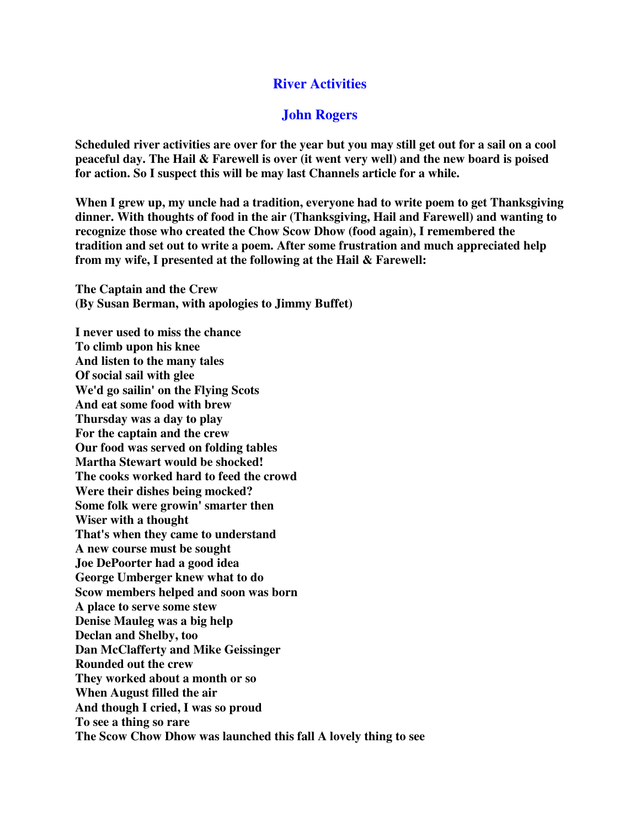## **River Activities**

## **John Rogers**

Scheduled river activities are over for the year but you may still get out for a sail on a cool **peaceful day. The Hail & Farewell is over (it went very well) and the new board is poised for action. So I suspect this will be may last Channels article for a while.**

**When I grew up, my uncle had a tradition, everyone had to write poem to get Thanksgiving dinner. With thoughts of food in the air (Thanksgiving, Hail and Farewell) and wanting to recognize those who created the Chow Scow Dhow (food again), I remembered the tradition and set out to write a poem. After some frustration and much appreciated help from my wife, I presented at the following at the Hail & Farewell:**

**The Captain and the Crew (By Susan Berman, with apologies to Jimmy Buffet)**

**I never used to miss the chance To climb upon his knee And listen to the many tales Of social sail with glee We'd go sailin' on the Flying Scots And eat some food with brew Thursday was a day to play For the captain and the crew Our food was served on folding tables Martha Stewart would be shocked! The cooks worked hard to feed the crowd Were their dishes being mocked? Some folk were growin' smarter then Wiser with a thought That's when they came to understand A new course must be sought Joe DePoorter had a good idea George Umberger knew what to do Scow members helped and soon was born A place to serve some stew Denise Mauleg was a big help Declan and Shelby, too Dan McClafferty and Mike Geissinger Rounded out the crew They worked about a month or so When August filled the air And though I cried, I was so proud To see a thing so rare The Scow Chow Dhow was launched this fall A lovely thing to see**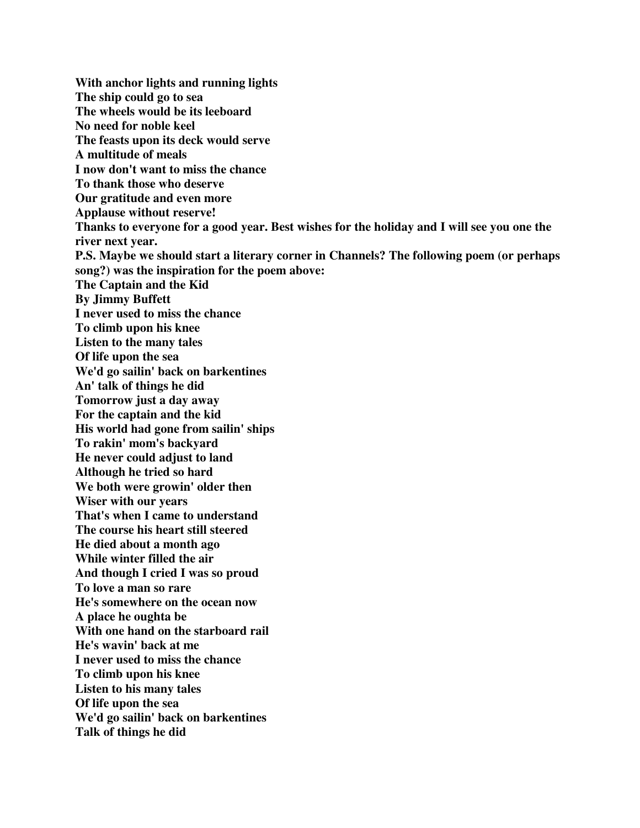**With anchor lights and running lights The ship could go to sea The wheels would be its leeboard No need for noble keel The feasts upon its deck would serve A multitude of meals I now don't want to miss the chance To thank those who deserve Our gratitude and even more Applause without reserve! Thanks to everyone for a good year. Best wishes for the holiday and I will see you one the river next year. P.S. Maybe we should start a literary corner in Channels? The following poem (or perhaps song?) was the inspiration for the poem above: The Captain and the Kid By Jimmy Buffett I never used to miss the chance To climb upon his knee Listen to the many tales Of life upon the sea We'd go sailin' back on barkentines An' talk of things he did Tomorrow just a day away For the captain and the kid His world had gone from sailin' ships To rakin' mom's backyard He never could adjust to land Although he tried so hard We both were growin' older then Wiser with our years That's when I came to understand The course his heart still steered He died about a month ago While winter filled the air And though I cried I was so proud To love a man so rare He's somewhere on the ocean now A place he oughta be With one hand on the starboard rail He's wavin' back at me I never used to miss the chance To climb upon his knee Listen to his many tales Of life upon the sea We'd go sailin' back on barkentines Talk of things he did**